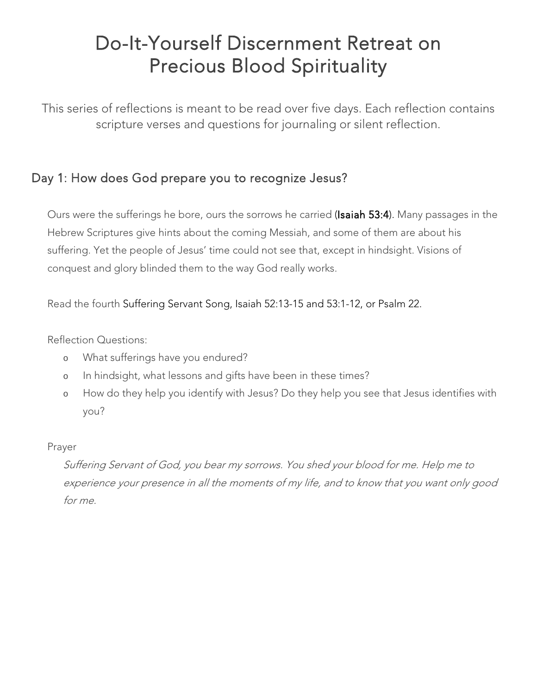# Do-It-Yourself Discernment Retreat on Precious Blood Spirituality

This series of reflections is meant to be read over five days. Each reflection contains scripture verses and questions for journaling or silent reflection.

# Day 1: How does God prepare you to recognize Jesus?

Ours were the sufferings he bore, ours the sorrows he carried [\(Isaiah 53:4\)](https://www.preciousbloodsistersdayton.org/exploring-your-call/discernment-resources/do-it-yourself-discernment-retreats/isaiah-534/). Many passages in the Hebrew Scriptures give hints about the coming Messiah, and some of them are about his suffering. Yet the people of Jesus' time could not see that, except in hindsight. Visions of conquest and glory blinded them to the way God really works.

Read the fourth Suffering Servant Song, Isaiah [52:13-15](https://www.preciousbloodsistersdayton.org/exploring-your-call/discernment-resources/do-it-yourself-discernment-retreats/isaiah-5213-15/) and [53:1-12,](https://www.preciousbloodsistersdayton.org/exploring-your-call/discernment-resources/do-it-yourself-discernment-retreats/isaiah/) or [Psalm](https://www.preciousbloodsistersdayton.org/exploring-your-call/discernment-resources/do-it-yourself-discernment-retreats/psalm-22/) 22.

Reflection Questions:

- o What sufferings have you endured?
- o In hindsight, what lessons and gifts have been in these times?
- o How do they help you identify with Jesus? Do they help you see that Jesus identifies with you?

## Prayer

Suffering Servant of God, you bear my sorrows. You shed your blood for me. Help me to experience your presence in all the moments of my life, and to know that you want only good for me.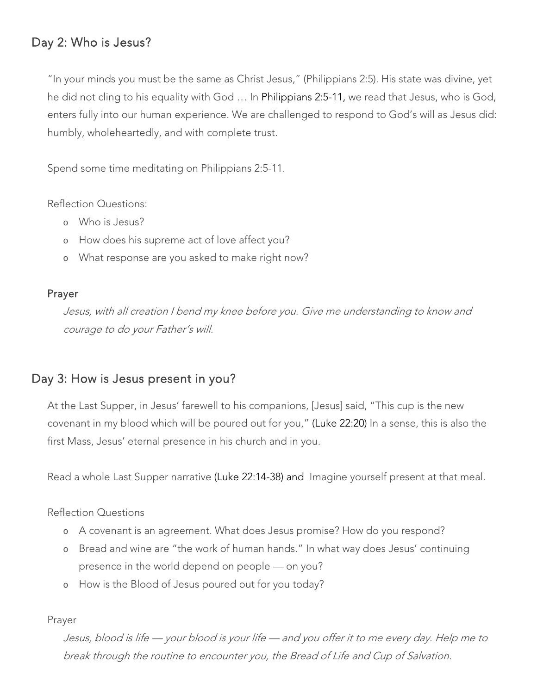# Day 2: Who is Jesus?

"In your minds you must be the same as Christ Jesus," (Philippians 2:5). His state was divine, yet he did not cling to his equality with God … In [Philippians](https://www.preciousbloodsistersdayton.org/exploring-your-call/discernment-resources/do-it-yourself-discernment-retreats/philippians-25-11/) 2:5-11, we read that Jesus, who is God, enters fully into our human experience. We are challenged to respond to God's will as Jesus did: humbly, wholeheartedly, and with complete trust.

Spend some time meditating on Philippians 2:5-11.

Reflection Questions:

- o Who is Jesus?
- o How does his supreme act of love affect you?
- o What response are you asked to make right now?

## Prayer

Jesus, with all creation I bend my knee before you. Give me understanding to know and courage to do your Father's will.

# Day 3: How is Jesus present in you?

At the Last Supper, in Jesus' farewell to his companions, [Jesus] said, "This cup is the new covenant in my blood which will be poured out for you," (Luke [22:20\)](https://www.preciousbloodsistersdayton.org/exploring-your-call/discernment-resources/do-it-yourself-discernment-retreats/luke-2220/) In a sense, this is also the first Mass, Jesus' eternal presence in his church and in you.

Read a whole Last Supper narrative (Luke [22:14-38\)](https://www.preciousbloodsistersdayton.org/exploring-your-call/discernment-resources/do-it-yourself-discernment-retreats/luke-2214-38/) and Imagine yourself present at that meal.

## Reflection Questions

- o A covenant is an agreement. What does Jesus promise? How do you respond?
- o Bread and wine are "the work of human hands." In what way does Jesus' continuing presence in the world depend on people — on you?
- o How is the Blood of Jesus poured out for you today?

#### Prayer

Jesus, blood is life — your blood is your life — and you offer it to me every day. Help me to break through the routine to encounter you, the Bread of Life and Cup of Salvation.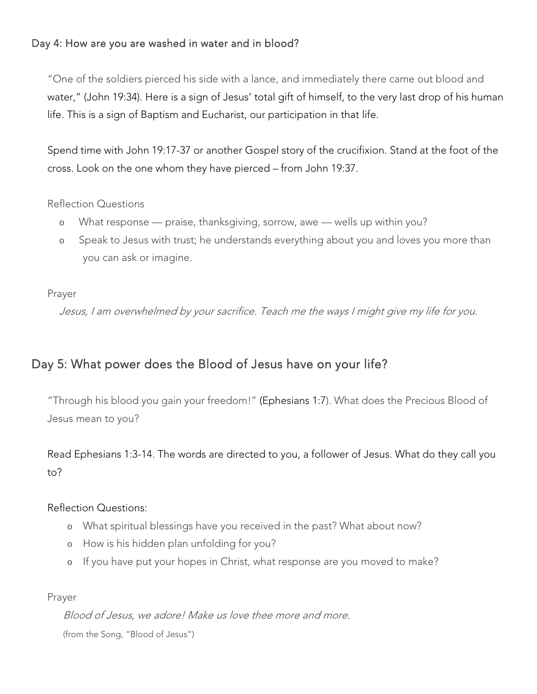# Day 4: How are you are washed in water and in blood?

"One of the soldiers pierced his side with a lance, and immediately there came out blood and water," (John [19:34\)](https://www.preciousbloodsistersdayton.org/exploring-your-call/discernment-resources/do-it-yourself-discernment-retreats/john-1934/). Here is a sign of Jesus' total gift of himself, to the very last drop of his human life. This is a sign of Baptism and Eucharist, our participation in that life.

Spend time with John [19:17-37](https://www.preciousbloodsistersdayton.org/exploring-your-call/discernment-resources/do-it-yourself-discernment-retreats/john-1917-37/) or another Gospel story of the crucifixion. Stand at the foot of the cross. Look on the one whom they have pierced – from John [19:37.](https://www.preciousbloodsistersdayton.org/exploring-your-call/discernment-resources/do-it-yourself-discernment-retreats/john-1937/)

## Reflection Questions

- o What response praise, thanksgiving, sorrow, awe wells up within you?
- o Speak to Jesus with trust; he understands everything about you and loves you more than you can ask or imagine.

## Prayer

Jesus, I am overwhelmed by your sacrifice. Teach me the ways I might give my life for you.

# Day 5: What power does the Blood of Jesus have on your life?

"Through his blood you gain your freedom!" [\(Ephesians](https://www.preciousbloodsistersdayton.org/exploring-your-call/discernment-resources/do-it-yourself-discernment-retreats/ephesians-17/) 1:7). What does the Precious Blood of Jesus mean to you?

Read [Ephesians](https://www.preciousbloodsistersdayton.org/exploring-your-call/discernment-resources/do-it-yourself-discernment-retreats/ephesians-13-14/) 1:3-14. The words are directed to you, a follower of Jesus. What do they call you to?

# Reflection Questions:

- o What spiritual blessings have you received in the past? What about now?
- o How is his hidden plan unfolding for you?
- o If you have put your hopes in Christ, what response are you moved to make?

## Prayer

Blood of Jesus, we adore! Make us love thee more and more. (from the Song, "Blood of Jesus")